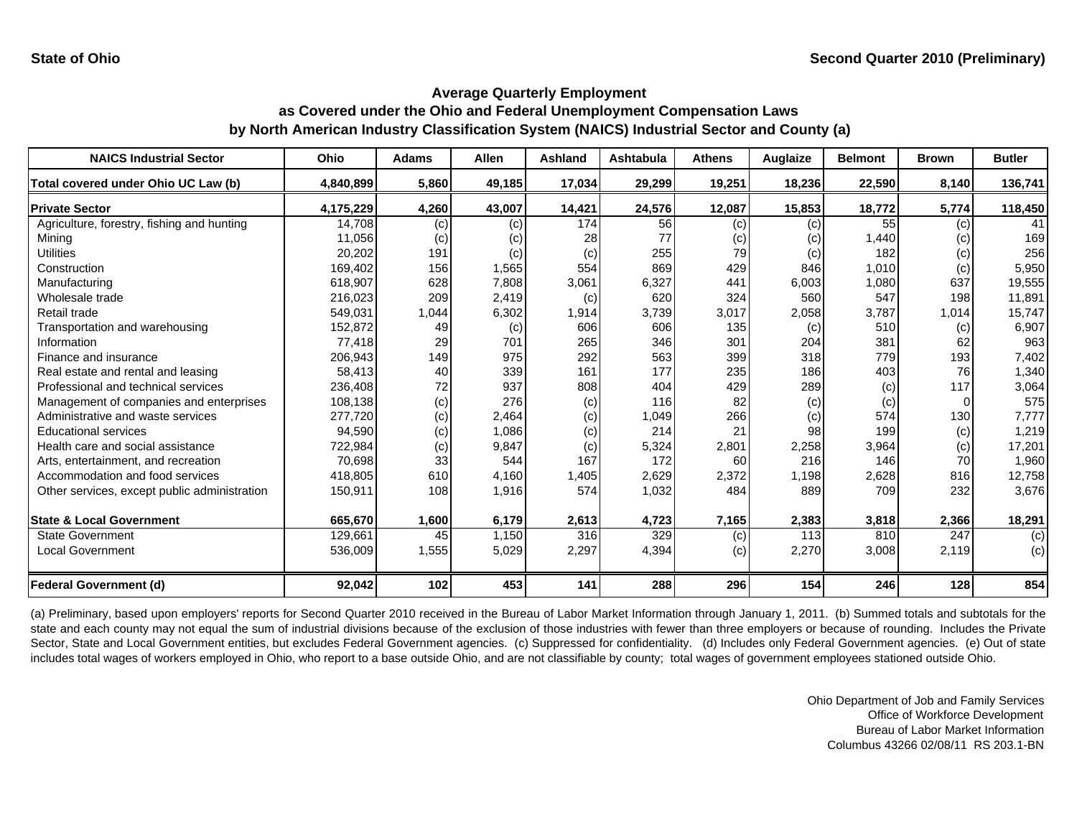| <b>NAICS Industrial Sector</b>               | Ohio      | <b>Adams</b> | <b>Allen</b> | Ashland | Ashtabula | <b>Athens</b> | Auglaize | <b>Belmont</b> | <b>Brown</b> | <b>Butler</b> |
|----------------------------------------------|-----------|--------------|--------------|---------|-----------|---------------|----------|----------------|--------------|---------------|
| Total covered under Ohio UC Law (b)          | 4,840,899 | 5,860        | 49,185       | 17,034  | 29,299    | 19,251        | 18,236   | 22,590         | 8,140        | 136,741       |
| <b>Private Sector</b>                        | 4,175,229 | 4,260        | 43,007       | 14,421  | 24,576    | 12,087        | 15,853   | 18,772         | 5,774        | 118,450       |
| Agriculture, forestry, fishing and hunting   | 14,708    | (c)          | (c)          | 174     | 56        | (c)           | (c)      | 55             | (c)          | 41            |
| Mining                                       | 11,056    | (c)          | (c)          | 28      | 77        | (c)           | (c)      | 1,440          | (c)          | 169           |
| <b>Utilities</b>                             | 20,202    | 191          | (c)          | (c)     | 255       | 79            | (c)      | 182            | (c)          | 256           |
| Construction                                 | 169,402   | 156          | 1,565        | 554     | 869       | 429           | 846      | 1,010          | (c)          | 5,950         |
| Manufacturing                                | 618,907   | 628          | 7,808        | 3,061   | 6,327     | 441           | 6,003    | 1,080          | 637          | 19,555        |
| Wholesale trade                              | 216,023   | 209          | 2,419        | (c)     | 620       | 324           | 560      | 547            | 198          | 11,891        |
| Retail trade                                 | 549,031   | 1,044        | 6,302        | 1,914   | 3,739     | 3,017         | 2,058    | 3,787          | 1,014        | 15,747        |
| Transportation and warehousing               | 152,872   | 49           | (c)          | 606     | 606       | 135           | (c)      | 510            | (c)          | 6,907         |
| Information                                  | 77,418    | 29           | 701          | 265     | 346       | 301           | 204      | 381            | 62           | 963           |
| Finance and insurance                        | 206,943   | 149          | 975          | 292     | 563       | 399           | 318      | 779            | 193          | 7,402         |
| Real estate and rental and leasing           | 58,413    | 40           | 339          | 161     | 177       | 235           | 186      | 403            | 76           | 1,340         |
| Professional and technical services          | 236,408   | 72           | 937          | 808     | 404       | 429           | 289      | (c)            | 117          | 3,064         |
| Management of companies and enterprises      | 108,138   | (c)          | 276          | (c)     | 116       | 82            | (c)      | (c)            |              | 575           |
| Administrative and waste services            | 277,720   | (c)          | 2,464        | (c)     | 1,049     | 266           | (c)      | 574            | 130          | 7,777         |
| <b>Educational services</b>                  | 94,590    | (c)          | 1,086        | (c)     | 214       | 21            | 98       | 199            | (c)          | 1,219         |
| Health care and social assistance            | 722,984   | (c)          | 9,847        | (c)     | 5,324     | 2,801         | 2,258    | 3,964          | (c)          | 17,201        |
| Arts, entertainment, and recreation          | 70,698    | 33           | 544          | 167     | 172       | 60            | 216      | 146            | 70           | 1,960         |
| Accommodation and food services              | 418,805   | 610          | 4,160        | 1,405   | 2,629     | 2,372         | 1,198    | 2,628          | 816          | 12,758        |
| Other services, except public administration | 150,911   | 108          | 1,916        | 574     | 1,032     | 484           | 889      | 709            | 232          | 3,676         |
| <b>State &amp; Local Government</b>          | 665,670   | 1,600        | 6,179        | 2,613   | 4,723     | 7,165         | 2,383    | 3,818          | 2,366        | 18,291        |
| <b>State Government</b>                      | 129,661   | 45           | 1,150        | 316     | 329       | (c)           | 113      | 810            | 247          | (c)           |
| <b>Local Government</b>                      | 536,009   | 1,555        | 5,029        | 2,297   | 4,394     | (c)           | 2,270    | 3,008          | 2,119        | (c)           |
| Federal Government (d)                       | 92,042    | 102          | 453          | 141     | 288       | 296           | 154      | 246            | 128          | 854           |

(a) Preliminary, based upon employers' reports for Second Quarter 2010 received in the Bureau of Labor Market Information through January 1, 2011. (b) Summed totals and subtotals for the state and each county may not equal the sum of industrial divisions because of the exclusion of those industries with fewer than three employers or because of rounding. Includes the Private Sector, State and Local Government entities, but excludes Federal Government agencies. (c) Suppressed for confidentiality. (d) Includes only Federal Government agencies. (e) Out of state includes total wages of workers employed in Ohio, who report to a base outside Ohio, and are not classifiable by county; total wages of government employees stationed outside Ohio.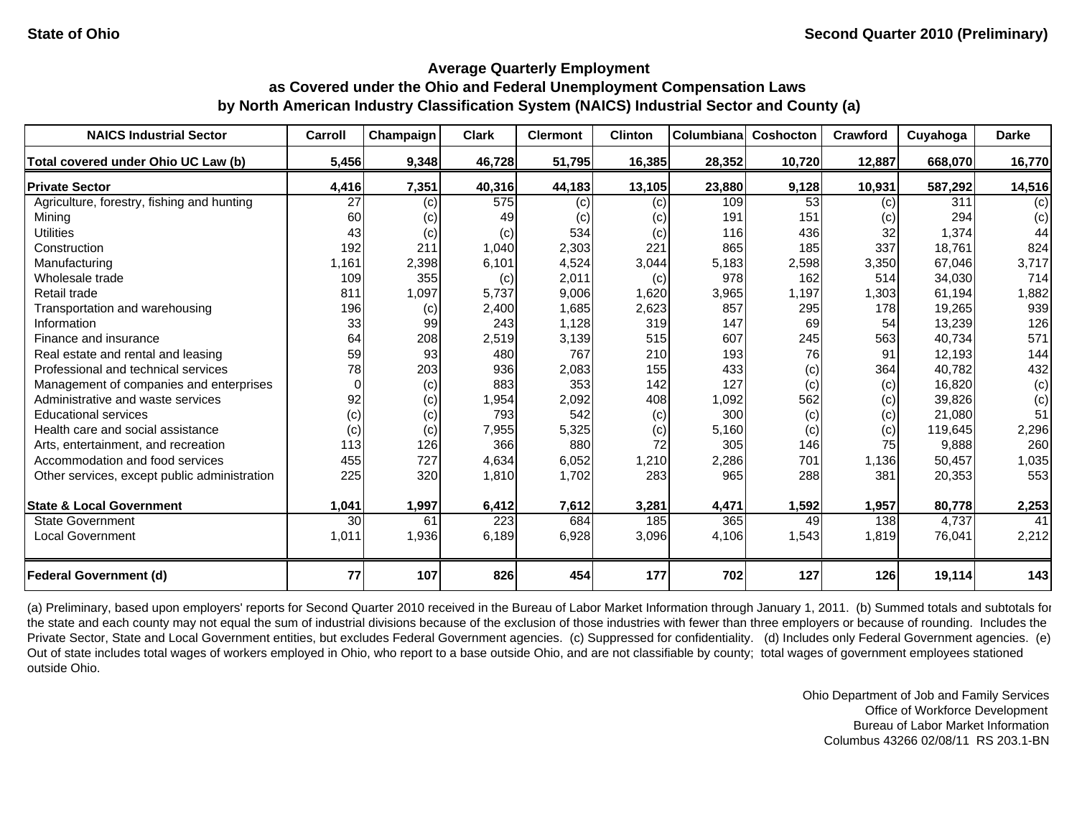| <b>NAICS Industrial Sector</b>               | Carroll  | Champaign | <b>Clark</b> | <b>Clermont</b> | <b>Clinton</b> | <b>Columbiana</b> | Coshocton | Crawford | Cuyahoga | <b>Darke</b> |
|----------------------------------------------|----------|-----------|--------------|-----------------|----------------|-------------------|-----------|----------|----------|--------------|
| Total covered under Ohio UC Law (b)          | 5,456    | 9,348     | 46,728       | 51,795          | 16,385         | 28,352            | 10,720    | 12,887   | 668,070  | 16,770       |
| <b>Private Sector</b>                        | 4,416    | 7,351     | 40,316       | 44,183          | 13,105         | 23,880            | 9,128     | 10,931   | 587,292  | 14,516       |
| Agriculture, forestry, fishing and hunting   | 27       | (c)       | 575          | (c)             | (c)            | 109               | 53        | (c)      | 311      | (c)          |
| Minina                                       | 60       | (c)       | 49           | (c)             | (c)            | 191               | 151       | (c)      | 294      | (c)          |
| <b>Utilities</b>                             | 43       | (c)       | (c)          | 534             | (c)            | 116               | 436       | 32       | 1,374    | 44           |
| Construction                                 | 192      | 211       | 1,040        | 2,303           | 221            | 865               | 185       | 337      | 18,761   | 824          |
| Manufacturing                                | 1,161    | 2,398     | 6,101        | 4,524           | 3,044          | 5,183             | 2,598     | 3,350    | 67,046   | 3,717        |
| Wholesale trade                              | 109      | 355       | (c)          | 2,011           | (c)            | 978               | 162       | 514      | 34,030   | 714          |
| Retail trade                                 | 811      | 1,097     | 5.737        | 9,006           | 1,620          | 3,965             | 1,197     | 1,303    | 61.194   | 1,882        |
| Transportation and warehousing               | 196      | (c)       | 2,400        | 1,685           | 2,623          | 857               | 295       | 178      | 19,265   | 939          |
| Information                                  | 33       | 99        | 243          | 1,128           | 319            | 147               | 69        | 54       | 13,239   | 126          |
| Finance and insurance                        | 64       | 208       | 2,519        | 3,139           | 515            | 607               | 245       | 563      | 40,734   | 571          |
| Real estate and rental and leasing           | 59       | 93        | 480          | 767             | 210            | 193               | 76        | 91       | 12,193   | 144          |
| Professional and technical services          | 78       | 203       | 936          | 2,083           | 155            | 433               | (c)       | 364      | 40,782   | 432          |
| Management of companies and enterprises      | $\Omega$ | (c)       | 883          | 353             | 142            | 127               | (c)       | (c)      | 16,820   | (c)          |
| Administrative and waste services            | 92       | (c)       | 1,954        | 2,092           | 408            | 1,092             | 562       | (c)      | 39,826   | (c)          |
| <b>Educational services</b>                  | (c)      | (c)       | 793          | 542             | (c)            | 300               | (c)       | (c)      | 21,080   | 51           |
| Health care and social assistance            | (c)      | (c)       | 7,955        | 5,325           | (c)            | 5,160             | (c)       | (c)      | 119,645  | 2,296        |
| Arts, entertainment, and recreation          | 113      | 126       | 366          | 880             | 72             | 305               | 146       | 75       | 9,888    | 260          |
| Accommodation and food services              | 455      | 727       | 4.634        | 6,052           | 1,210          | 2,286             | 701       | 1.136    | 50,457   | 1,035        |
| Other services, except public administration | 225      | 320       | 1,810        | 1,702           | 283            | 965               | 288       | 381      | 20,353   | 553          |
| <b>State &amp; Local Government</b>          | 1,041    | 1,997     | 6,412        | 7,612           | 3,281          | 4,471             | 1,592     | 1,957    | 80,778   | 2,253        |
| <b>State Government</b>                      | 30       | 61        | 223          | 684             | 185            | 365               | 49        | 138      | 4,737    | 41           |
| <b>Local Government</b>                      | 1,011    | 1,936     | 6,189        | 6,928           | 3,096          | 4,106             | 1,543     | 1,819    | 76,041   | 2,212        |
| <b>Federal Government (d)</b>                | 77       | 107       | 826          | 454             | 177            | 702               | 127       | 126      | 19,114   | 143          |

(a) Preliminary, based upon employers' reports for Second Quarter 2010 received in the Bureau of Labor Market Information through January 1, 2011. (b) Summed totals and subtotals for the state and each county may not equal the sum of industrial divisions because of the exclusion of those industries with fewer than three employers or because of rounding. Includes the Private Sector, State and Local Government entities, but excludes Federal Government agencies. (c) Suppressed for confidentiality. (d) Includes only Federal Government agencies. (e) Out of state includes total wages of workers employed in Ohio, who report to a base outside Ohio, and are not classifiable by county; total wages of government employees stationed outside Ohio.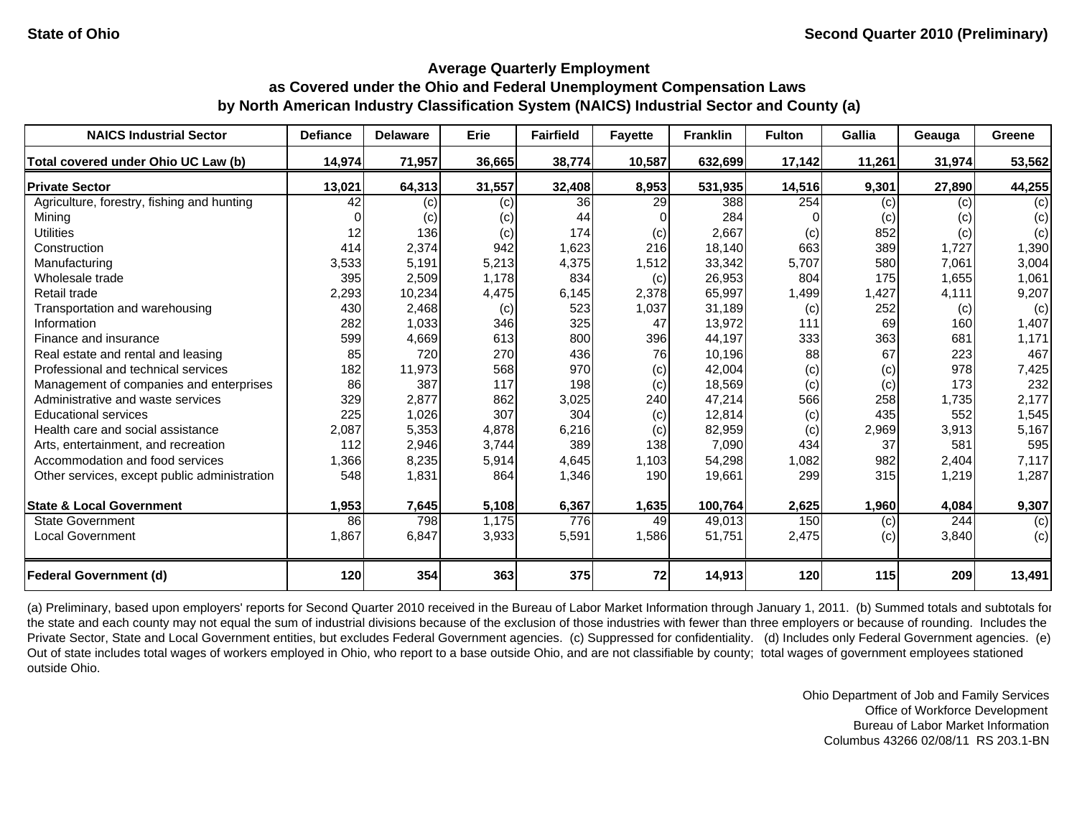| <b>NAICS Industrial Sector</b>               | <b>Defiance</b> | <b>Delaware</b> | Erie   | <b>Fairfield</b> | <b>Fayette</b> | <b>Franklin</b> | <b>Fulton</b> | <b>Gallia</b> | Geauga | Greene |
|----------------------------------------------|-----------------|-----------------|--------|------------------|----------------|-----------------|---------------|---------------|--------|--------|
| Total covered under Ohio UC Law (b)          | 14,974          | 71,957          | 36,665 | 38,774           | 10,587         | 632,699         | 17,142        | 11,261        | 31,974 | 53,562 |
| <b>Private Sector</b>                        | 13,021          | 64,313          | 31,557 | 32,408           | 8,953          | 531,935         | 14,516        | 9,301         | 27,890 | 44,255 |
| Agriculture, forestry, fishing and hunting   | 42              | (c)             | (c)    | 36 <sup>1</sup>  | 29             | 388             | 254           | (c)           | (c)    | (c)    |
| Mining                                       |                 | (c)             | (c)    | 44               |                | 284             |               | (c)           | (c)    | (c)    |
| <b>Utilities</b>                             | 12              | 136             | (c)    | 174              | (c)            | 2,667           | (c)           | 852           | (c)    | (c)    |
| Construction                                 | 414             | 2,374           | 942    | 1,623            | 216            | 18,140          | 663           | 389           | 1,727  | 1,390  |
| Manufacturing                                | 3,533           | 5,191           | 5,213  | 4,375            | 1,512          | 33,342          | 5,707         | 580           | 7,061  | 3,004  |
| Wholesale trade                              | 395             | 2,509           | 1,178  | 834              | (c)            | 26,953          | 804           | 175           | 1,655  | 1,061  |
| Retail trade                                 | 2,293           | 10,234          | 4,475  | 6,145            | 2,378          | 65,997          | 1,499         | 1,427         | 4,111  | 9,207  |
| Transportation and warehousing               | 430             | 2,468           | (c)    | 523              | 1,037          | 31,189          | (c)           | 252           | (c)    | (c)    |
| Information                                  | 282             | 1,033           | 346    | 325              | 47             | 13,972          | 111           | 69            | 160    | 1,407  |
| Finance and insurance                        | 599             | 4,669           | 613    | 800              | 396            | 44,197          | 333           | 363           | 681    | 1,171  |
| Real estate and rental and leasing           | 85              | 720             | 270    | 436              | 76             | 10,196          | 88            | 67            | 223    | 467    |
| Professional and technical services          | 182             | 11,973          | 568    | 970              | (c)            | 42,004          | (c)           | (c)           | 978    | 7,425  |
| Management of companies and enterprises      | 86              | 387             | 117    | 198              | (c)            | 18,569          | (c)           | (c)           | 173    | 232    |
| Administrative and waste services            | 329             | 2,877           | 862    | 3,025            | 240            | 47,214          | 566           | 258           | 1,735  | 2,177  |
| <b>Educational services</b>                  | 225             | 1,026           | 307    | 304              | (c)            | 12,814          | (c)           | 435           | 552    | 1,545  |
| Health care and social assistance            | 2,087           | 5,353           | 4,878  | 6,216            | (c)            | 82,959          | (c)           | 2,969         | 3,913  | 5,167  |
| Arts, entertainment, and recreation          | 112             | 2,946           | 3,744  | 389              | 138            | 7,090           | 434           | 37            | 581    | 595    |
| Accommodation and food services              | 1,366           | 8,235           | 5,914  | 4,645            | 1,103          | 54,298          | 1,082         | 982           | 2,404  | 7,117  |
| Other services, except public administration | 548             | 1,831           | 864    | 1,346            | 190            | 19,661          | 299           | 315           | 1,219  | 1,287  |
| <b>State &amp; Local Government</b>          | 1,953           | 7,645           | 5,108  | 6,367            | 1,635          | 100,764         | 2,625         | 1,960         | 4,084  | 9,307  |
| <b>State Government</b>                      | 86              | 798             | 1,175  | 776              | 49             | 49,013          | 150           | (c)           | 244    | (c)    |
| Local Government                             | 1,867           | 6,847           | 3,933  | 5,591            | 1,586          | 51,751          | 2,475         | (c)           | 3,840  | (c)    |
| <b>Federal Government (d)</b>                | 120             | 354             | 363    | 375              | 72             | 14,913          | 120           | <b>115</b>    | 209    | 13,491 |

(a) Preliminary, based upon employers' reports for Second Quarter 2010 received in the Bureau of Labor Market Information through January 1, 2011. (b) Summed totals and subtotals for the state and each county may not equal the sum of industrial divisions because of the exclusion of those industries with fewer than three employers or because of rounding. Includes the Private Sector, State and Local Government entities, but excludes Federal Government agencies. (c) Suppressed for confidentiality. (d) Includes only Federal Government agencies. (e) Out of state includes total wages of workers employed in Ohio, who report to a base outside Ohio, and are not classifiable by county; total wages of government employees stationed outside Ohio.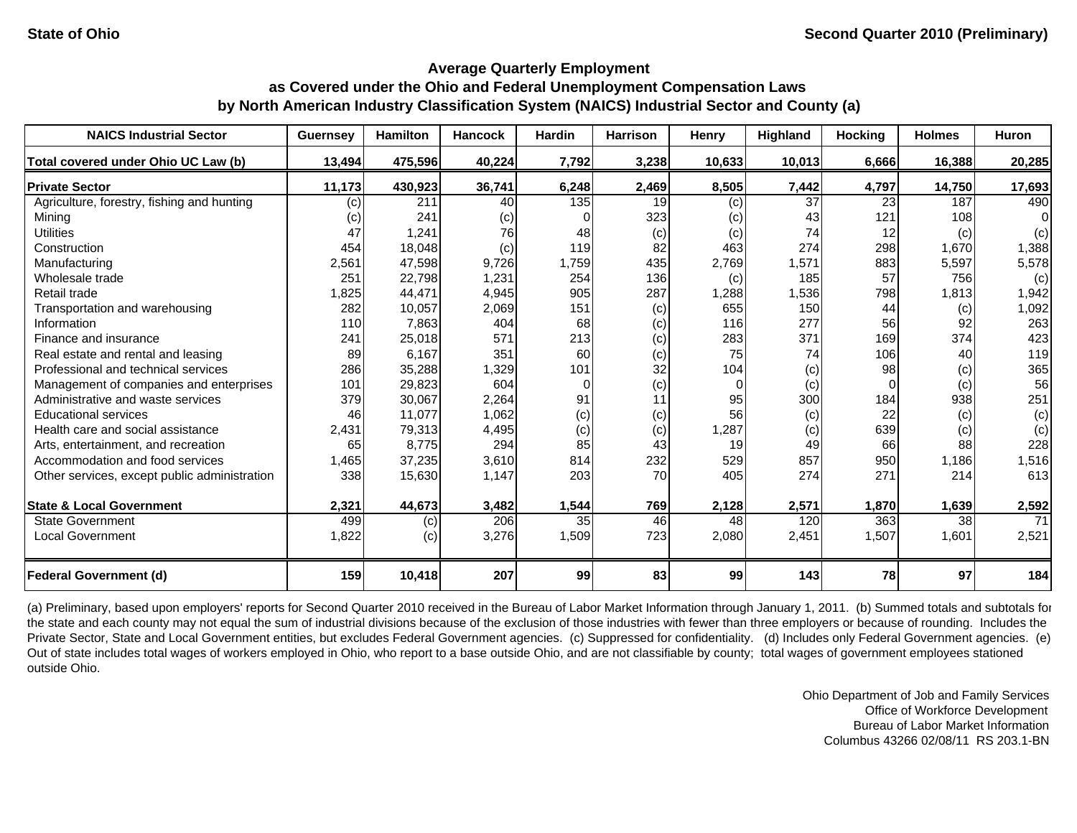| <b>NAICS Industrial Sector</b>               | <b>Guernsey</b> | <b>Hamilton</b> | <b>Hancock</b> | Hardin   | <b>Harrison</b> | Henry    | Highland | <b>Hocking</b> | <b>Holmes</b> | Huron  |
|----------------------------------------------|-----------------|-----------------|----------------|----------|-----------------|----------|----------|----------------|---------------|--------|
| Total covered under Ohio UC Law (b)          | 13,494          | 475,596         | 40,224         | 7,792    | 3,238           | 10,633   | 10,013   | 6,666          | 16,388        | 20,285 |
| <b>Private Sector</b>                        | 11,173          | 430,923         | 36,741         | 6,248    | 2,469           | 8,505    | 7,442    | 4,797          | 14,750        | 17,693 |
| Agriculture, forestry, fishing and hunting   | (c)             | 211             | 40             | 135      | 19              | (c)      | 37       | 23             | 187           | 490    |
| Mining                                       | (c)             | 241             | (c)            |          | 323             | (c)      | 43       | 121            | 108           | 0      |
| <b>Utilities</b>                             | 47              | 1,241           | 76             | 48       | (c)             | (c)      | 74       | 12             | (c)           | (c)    |
| Construction                                 | 454             | 18,048          | (c)            | 119      | 82              | 463      | 274      | 298            | 1,670         | 1,388  |
| Manufacturing                                | 2,561           | 47,598          | 9,726          | 1,759    | 435             | 2,769    | 1,571    | 883            | 5,597         | 5,578  |
| Wholesale trade                              | 251             | 22,798          | 1,231          | 254      | 136             | (c)      | 185      | 57             | 756           | (c)    |
| Retail trade                                 | 1,825           | 44,471          | 4,945          | 905      | 287             | 1,288    | 1,536    | 798            | 1,813         | 1,942  |
| Transportation and warehousing               | 282             | 10,057          | 2,069          | 151      | (c)             | 655      | 150      | 44             | (c)           | 1,092  |
| Information                                  | 110             | 7,863           | 404            | 68       | (c)             | 116      | 277      | 56             | 92            | 263    |
| Finance and insurance                        | 241             | 25,018          | 571            | 213      | (c)             | 283      | 371      | 169            | 374           | 423    |
| Real estate and rental and leasing           | 89              | 6,167           | 351            | 60       | (c)             | 75       | 74       | 106            | 40            | 119    |
| Professional and technical services          | 286             | 35,288          | 1,329          | 101      | 32              | 104      | (c)      | 98             | (c)           | 365    |
| Management of companies and enterprises      | 101             | 29,823          | 604            | $\Omega$ | (c)             | $\Omega$ | (c)      | $\Omega$       | (c)           | 56     |
| Administrative and waste services            | 379             | 30,067          | 2,264          | 91       | 11              | 95       | 300      | 184            | 938           | 251    |
| <b>Educational services</b>                  | 46              | 11,077          | 1,062          | (c)      | (c)             | 56       | (c)      | 22             | (c)           | (c)    |
| Health care and social assistance            | 2.431           | 79,313          | 4,495          | (c)      | (c)             | 1,287    | (c)      | 639            | (c)           | (c)    |
| Arts, entertainment, and recreation          | 65              | 8,775           | 294            | 85       | 43              | 19       | 49       | 66             | 88            | 228    |
| Accommodation and food services              | 1,465           | 37,235          | 3,610          | 814      | 232             | 529      | 857      | 950            | 1,186         | 1,516  |
| Other services, except public administration | 338             | 15,630          | 1,147          | 203      | 70              | 405      | 274      | 271            | 214           | 613    |
| <b>State &amp; Local Government</b>          | 2,321           | 44,673          | 3,482          | 1,544    | 769             | 2,128    | 2,571    | 1,870          | 1,639         | 2,592  |
| <b>State Government</b>                      | 499             | (c)             | 206            | 35       | 46              | 48       | 120      | 363            | 38            | 71     |
| <b>Local Government</b>                      | 1,822           | (c)             | 3,276          | 1,509    | 723             | 2,080    | 2,451    | 1,507          | 1,601         | 2,521  |
| <b>Federal Government (d)</b>                | 159             | 10,418          | 207            | 99       | 83              | 99       | 143      | <b>78</b>      | 97            | 184    |

(a) Preliminary, based upon employers' reports for Second Quarter 2010 received in the Bureau of Labor Market Information through January 1, 2011. (b) Summed totals and subtotals for the state and each county may not equal the sum of industrial divisions because of the exclusion of those industries with fewer than three employers or because of rounding. Includes the Private Sector, State and Local Government entities, but excludes Federal Government agencies. (c) Suppressed for confidentiality. (d) Includes only Federal Government agencies. (e) Out of state includes total wages of workers employed in Ohio, who report to a base outside Ohio, and are not classifiable by county; total wages of government employees stationed outside Ohio.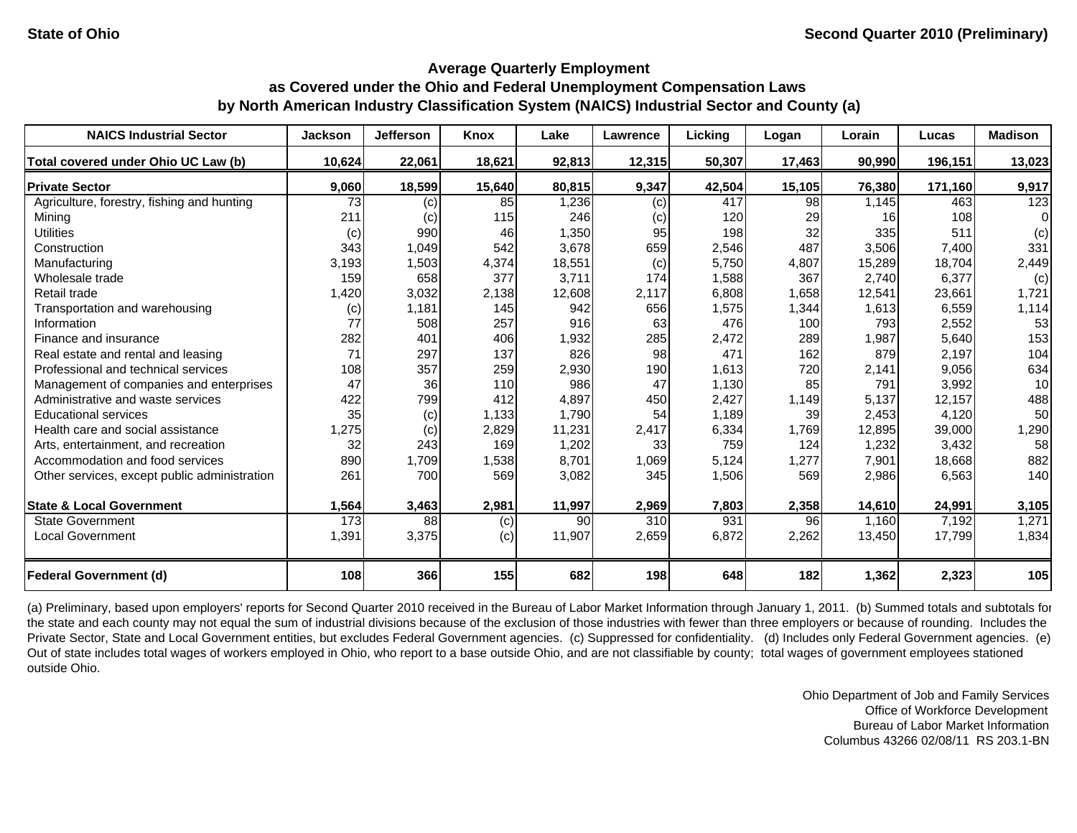| <b>NAICS Industrial Sector</b>               | <b>Jackson</b> | <b>Jefferson</b> | Knox   | Lake   | Lawrence | Lickina | Logan  | Lorain | Lucas   | <b>Madison</b> |
|----------------------------------------------|----------------|------------------|--------|--------|----------|---------|--------|--------|---------|----------------|
| Total covered under Ohio UC Law (b)          | 10,624         | 22,061           | 18,621 | 92,813 | 12,315   | 50,307  | 17,463 | 90,990 | 196,151 | 13,023         |
| <b>Private Sector</b>                        | 9,060          | 18,599           | 15,640 | 80,815 | 9,347    | 42,504  | 15,105 | 76,380 | 171,160 | 9,917          |
| Agriculture, forestry, fishing and hunting   | 73             | $\left( $        | 85     | ,236   | (c)      | 417     | 98     | 1,145  | 463     | 123            |
| Mining                                       | 211            | (c)              | 115    | 246    | (c)      | 120     | 29     | 16     | 108     | $\Omega$       |
| <b>Utilities</b>                             | (c)            | 990              | 46     | 1,350  | 95       | 198     | 32     | 335    | 511     | (c)            |
| Construction                                 | 343            | 1,049            | 542    | 3,678  | 659      | 2,546   | 487    | 3,506  | 7,400   | 331            |
| Manufacturing                                | 3,193          | 1,503            | 4,374  | 18,551 | (c)      | 5,750   | 4,807  | 15,289 | 18,704  | 2,449          |
| Wholesale trade                              | 159            | 658              | 377    | 3,711  | 174      | 1,588   | 367    | 2,740  | 6,377   | (c)            |
| Retail trade                                 | 1,420          | 3,032            | 2,138  | 12,608 | 2,117    | 6,808   | 1,658  | 12,541 | 23,661  | 1,721          |
| Transportation and warehousing               | (c)            | 1,181            | 145    | 942    | 656      | 1,575   | 1,344  | 1,613  | 6,559   | 1,114          |
| Information                                  | 77             | 508              | 257    | 916    | 63       | 476     | 100    | 793    | 2,552   | 53             |
| Finance and insurance                        | 282            | 401              | 406    | 1,932  | 285      | 2,472   | 289    | 1,987  | 5,640   | 153            |
| Real estate and rental and leasing           | 71             | 297              | 137    | 826    | 98       | 471     | 162    | 879    | 2,197   | 104            |
| Professional and technical services          | 108            | 357              | 259    | 2,930  | 190      | 1,613   | 720    | 2,141  | 9,056   | 634            |
| Management of companies and enterprises      | 47             | 36               | 110    | 986    | 47       | 1,130   | 85     | 791    | 3,992   | 10             |
| Administrative and waste services            | 422            | 799              | 412    | 4,897  | 450      | 2,427   | 1,149  | 5,137  | 12,157  | 488            |
| <b>Educational services</b>                  | 35             | (c)              | 1,133  | 1,790  | 54       | 1,189   | 39     | 2,453  | 4,120   | 50             |
| Health care and social assistance            | 1,275          | (c)              | 2,829  | 11,231 | 2,417    | 6,334   | 1,769  | 12,895 | 39,000  | 1,290          |
| Arts, entertainment, and recreation          | 32             | 243              | 169    | 1,202  | 33       | 759     | 124    | 1,232  | 3,432   | 58             |
| Accommodation and food services              | 890            | 1,709            | 1,538  | 8,701  | 1,069    | 5,124   | 1,277  | 7,901  | 18,668  | 882            |
| Other services, except public administration | 261            | 700              | 569    | 3,082  | 345      | 1,506   | 569    | 2,986  | 6,563   | 140            |
| <b>State &amp; Local Government</b>          | 1,564          | 3,463            | 2,981  | 11,997 | 2,969    | 7,803   | 2,358  | 14,610 | 24,991  | 3,105          |
| <b>State Government</b>                      | 173            | 88               | (c)    | 90     | 310      | 931     | 96     | 1,160  | 7,192   | 1,271          |
| <b>Local Government</b>                      | 1,391          | 3,375            | (c)    | 11,907 | 2,659    | 6,872   | 2,262  | 13,450 | 17,799  | 1,834          |
| <b>Federal Government (d)</b>                | 108            | 366              | 155    | 682    | 198      | 648     | 182    | 1,362  | 2,323   | 105            |

(a) Preliminary, based upon employers' reports for Second Quarter 2010 received in the Bureau of Labor Market Information through January 1, 2011. (b) Summed totals and subtotals for the state and each county may not equal the sum of industrial divisions because of the exclusion of those industries with fewer than three employers or because of rounding. Includes the Private Sector, State and Local Government entities, but excludes Federal Government agencies. (c) Suppressed for confidentiality. (d) Includes only Federal Government agencies. (e) Out of state includes total wages of workers employed in Ohio, who report to a base outside Ohio, and are not classifiable by county; total wages of government employees stationed outside Ohio.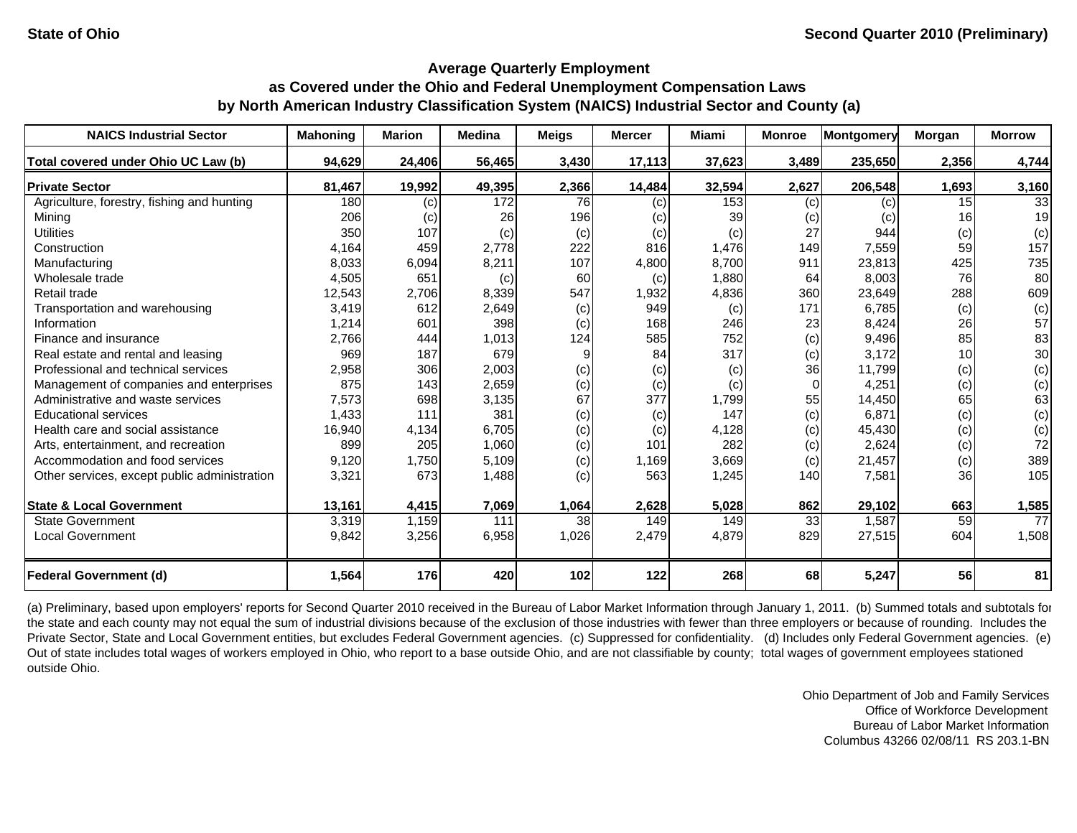| <b>NAICS Industrial Sector</b>               | <b>Mahoning</b> | <b>Marion</b> | <b>Medina</b> | <b>Meigs</b> | <b>Mercer</b> | <b>Miami</b> | <b>Monroe</b> | Montgomery | Morgan          | <b>Morrow</b> |
|----------------------------------------------|-----------------|---------------|---------------|--------------|---------------|--------------|---------------|------------|-----------------|---------------|
| Total covered under Ohio UC Law (b)          | 94,629          | 24,406        | 56,465        | 3,430        | 17,113        | 37,623       | 3,489         | 235,650    | 2,356           | 4,744         |
| <b>Private Sector</b>                        | 81,467          | 19,992        | 49,395        | 2,366        | 14,484        | 32,594       | 2,627         | 206,548    | 1,693           | 3,160         |
| Agriculture, forestry, fishing and hunting   | 180             | (c)           | 172           | 76           | (c)           | 153          | (c)           | (c)        | 15 <sup>1</sup> | 33            |
| Mining                                       | 206             | (c)           | 26            | 196          | (c)           | 39           | (c)           | (c)        | 16 <sup>1</sup> | 19            |
| <b>Utilities</b>                             | 350             | 107           | (c)           | (c)          | (c)           | (c)          | 27            | 944        | (c)             | (c)           |
| Construction                                 | 4,164           | 459           | 2,778         | 222          | 816           | 1,476        | 149           | 7,559      | 59              | 157           |
| Manufacturing                                | 8,033           | 6,094         | 8,211         | 107          | 4,800         | 8,700        | 911           | 23,813     | 425             | 735           |
| Wholesale trade                              | 4,505           | 651           | (c)           | 60           | (c)           | 1,880        | 64            | 8,003      | 76              | 80            |
| Retail trade                                 | 12,543          | 2,706         | 8,339         | 547          | 1,932         | 4,836        | 360           | 23,649     | 288             | 609           |
| Transportation and warehousing               | 3,419           | 612           | 2,649         | (c)          | 949           | (c)          | 171           | 6,785      | (c)             | (c)           |
| Information                                  | 1,214           | 601           | 398           | (c)          | 168           | 246          | 23            | 8,424      | 26              | 57            |
| Finance and insurance                        | 2,766           | 444           | 1,013         | 124          | 585           | 752          | (c)           | 9,496      | 85              | 83            |
| Real estate and rental and leasing           | 969             | 187           | 679           | 9            | 84            | 317          | (c)           | 3.172      | 10              | 30            |
| Professional and technical services          | 2,958           | 306           | 2,003         | (c)          | (c)           | (c)          | 36            | 11,799     | (c)             | (c)           |
| Management of companies and enterprises      | 875             | 143           | 2,659         | (c)          | (c)           | (c)          | $\Omega$      | 4,251      | (c)             | (c)           |
| Administrative and waste services            | 7,573           | 698           | 3,135         | 67           | 377           | 1,799        | 55            | 14,450     | 65              | 63            |
| <b>Educational services</b>                  | 1,433           | 111           | 381           | (c)          | (c)           | 147          | (c)           | 6,871      | (c)             | (c)           |
| Health care and social assistance            | 16,940          | 4,134         | 6,705         | (c)          | (c)           | 4,128        | (c)           | 45,430     | (c)             | (c)           |
| Arts, entertainment, and recreation          | 899             | 205           | 1,060         | (c)          | 101           | 282          | (c)           | 2,624      | (c)             | 72            |
| Accommodation and food services              | 9,120           | 1,750         | 5,109         | (c)          | 1,169         | 3,669        | (c)           | 21,457     | (c)             | 389           |
| Other services, except public administration | 3,321           | 673           | 1,488         | (c)          | 563           | 1,245        | 140           | 7,581      | 36              | 105           |
| <b>State &amp; Local Government</b>          | 13,161          | 4,415         | 7,069         | 1,064        | 2,628         | 5,028        | 862           | 29,102     | 663             | 1,585         |
| <b>State Government</b>                      | 3,319           | 1,159         | 111           | 38           | 149           | 149          | 33            | 1,587      | 59              | 77            |
| <b>Local Government</b>                      | 9,842           | 3,256         | 6,958         | 1,026        | 2,479         | 4,879        | 829           | 27,515     | 604             | 1,508         |
| <b>Federal Government (d)</b>                | 1,564           | 176           | 420           | 102          | 122           | 268          | 68            | 5,247      | 56              | 81            |

(a) Preliminary, based upon employers' reports for Second Quarter 2010 received in the Bureau of Labor Market Information through January 1, 2011. (b) Summed totals and subtotals for the state and each county may not equal the sum of industrial divisions because of the exclusion of those industries with fewer than three employers or because of rounding. Includes the Private Sector, State and Local Government entities, but excludes Federal Government agencies. (c) Suppressed for confidentiality. (d) Includes only Federal Government agencies. (e) Out of state includes total wages of workers employed in Ohio, who report to a base outside Ohio, and are not classifiable by county; total wages of government employees stationed outside Ohio.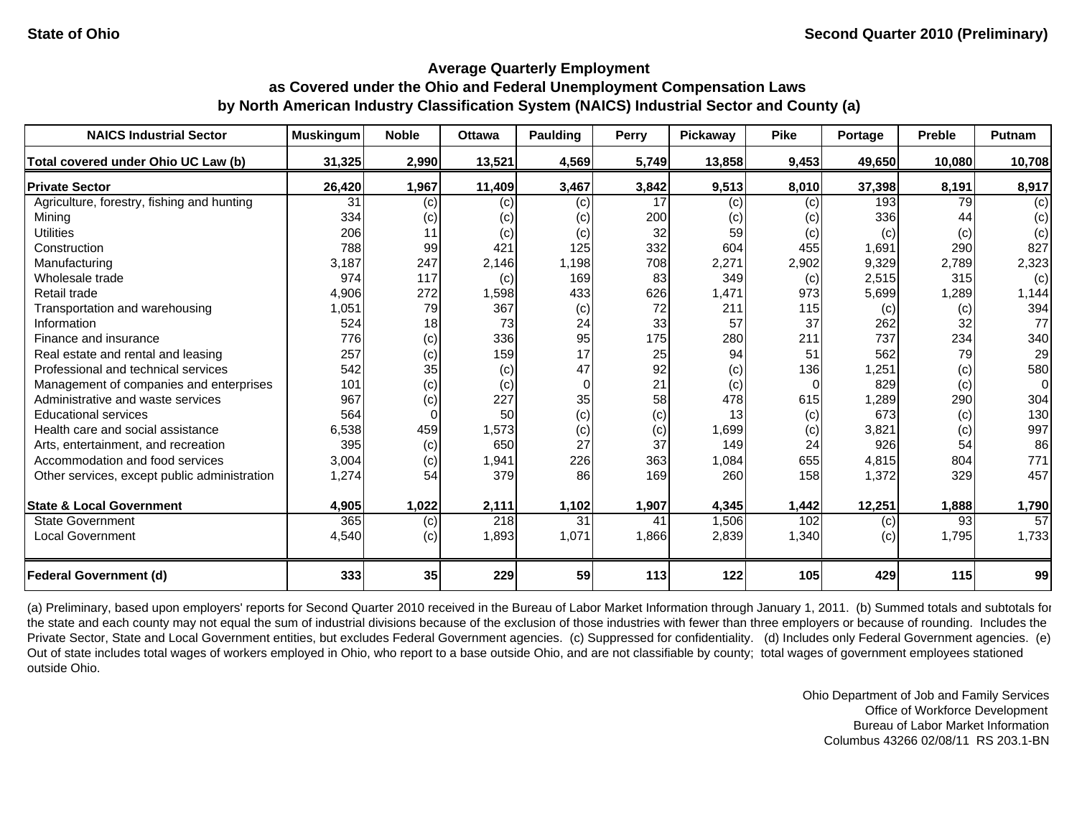| <b>NAICS Industrial Sector</b>               | <b>Muskingum</b> | <b>Noble</b> | <b>Ottawa</b> | Paulding | <b>Perry</b> | Pickaway | <b>Pike</b> | Portage | <b>Preble</b> | Putnam   |
|----------------------------------------------|------------------|--------------|---------------|----------|--------------|----------|-------------|---------|---------------|----------|
| Total covered under Ohio UC Law (b)          | 31,325           | 2,990        | 13,521        | 4,569    | 5,749        | 13,858   | 9,453       | 49.650  | 10.080        | 10,708   |
| <b>Private Sector</b>                        | 26,420           | 1,967        | 11,409        | 3,467    | 3,842        | 9,513    | 8,010       | 37,398  | 8,191         | 8,917    |
| Agriculture, forestry, fishing and hunting   | 31               | (c)          | (c)           | (c)      | 17           | (c)      | (c)         | 193     | 79            | (c)      |
| Minina                                       | 334              | (c)          | (c)           | (c)      | 200          | (c)      | (c)         | 336     | 44            | (c)      |
| <b>Utilities</b>                             | 206              | 11           | (c)           | (c)      | 32           | 59       | (c)         | (c)     | (c)           | (c)      |
| Construction                                 | 788              | 99           | 421           | 125      | 332          | 604      | 455         | 1,691   | 290           | 827      |
| Manufacturing                                | 3,187            | 247          | 2,146         | 1,198    | 708          | 2,271    | 2,902       | 9,329   | 2,789         | 2,323    |
| Wholesale trade                              | 974              | 117          | (c)           | 169      | 83           | 349      | (c)         | 2,515   | 315           | (c)      |
| Retail trade                                 | 4,906            | 272          | 1,598         | 433      | 626          | 1,471    | 973         | 5,699   | 1,289         | 1,144    |
| Transportation and warehousing               | 1,051            | 79           | 367           | (c)      | 72           | 211      | 115         | (c)     | (c)           | 394      |
| Information                                  | 524              | 18           | 73            | 24       | 33           | 57       | 37          | 262     | 32            | 77       |
| Finance and insurance                        | 776              | (c)          | 336           | 95       | 175          | 280      | 211         | 737     | 234           | 340      |
| Real estate and rental and leasing           | 257              | (c)          | 159           | 17       | 25           | 94       | 51          | 562     | 79            | 29       |
| Professional and technical services          | 542              | 35           | (c)           | 47       | 92           | (c)      | 136         | 1,251   | (c)           | 580      |
| Management of companies and enterprises      | 101              | (c)          | (c)           | $\Omega$ | 21           | (c)      | $\Omega$    | 829     | (c)           | $\Omega$ |
| Administrative and waste services            | 967              | (c)          | 227           | 35       | 58           | 478      | 615         | ,289    | 290           | 304      |
| <b>Educational services</b>                  | 564              |              | 50            | (c)      | (c)          | 13       | (c)         | 673     | (c)           | 130      |
| Health care and social assistance            | 6,538            | 459          | 1,573         | (c)      | (c)          | 1,699    | (c)         | 3,821   | (c)           | 997      |
| Arts, entertainment, and recreation          | 395              | (c)          | 650           | 27       | 37           | 149      | 24          | 926     | 54            | 86       |
| Accommodation and food services              | 3,004            | (c)          | 1,941         | 226      | 363          | 1,084    | 655         | 4,815   | 804           | 771      |
| Other services, except public administration | 1,274            | 54           | 379           | 86       | 169          | 260      | 158         | 1,372   | 329           | 457      |
| <b>State &amp; Local Government</b>          | 4,905            | 1,022        | 2,111         | 1,102    | 1,907        | 4,345    | 1,442       | 12,251  | 1,888         | 1,790    |
| <b>State Government</b>                      | 365              | (c)          | 218           | 31       | 41           | 1,506    | 102         | (c)     | 93            | 57       |
| <b>Local Government</b>                      | 4,540            | (c)          | 1,893         | 1,071    | 1,866        | 2,839    | 1,340       | (c)     | 1,795         | 1,733    |
| <b>Federal Government (d)</b>                | 333              | 35           | 229           | 59       | 113          | 122      | 105         | 429     | 115           | 99       |

(a) Preliminary, based upon employers' reports for Second Quarter 2010 received in the Bureau of Labor Market Information through January 1, 2011. (b) Summed totals and subtotals for the state and each county may not equal the sum of industrial divisions because of the exclusion of those industries with fewer than three employers or because of rounding. Includes the Private Sector, State and Local Government entities, but excludes Federal Government agencies. (c) Suppressed for confidentiality. (d) Includes only Federal Government agencies. (e) Out of state includes total wages of workers employed in Ohio, who report to a base outside Ohio, and are not classifiable by county; total wages of government employees stationed outside Ohio.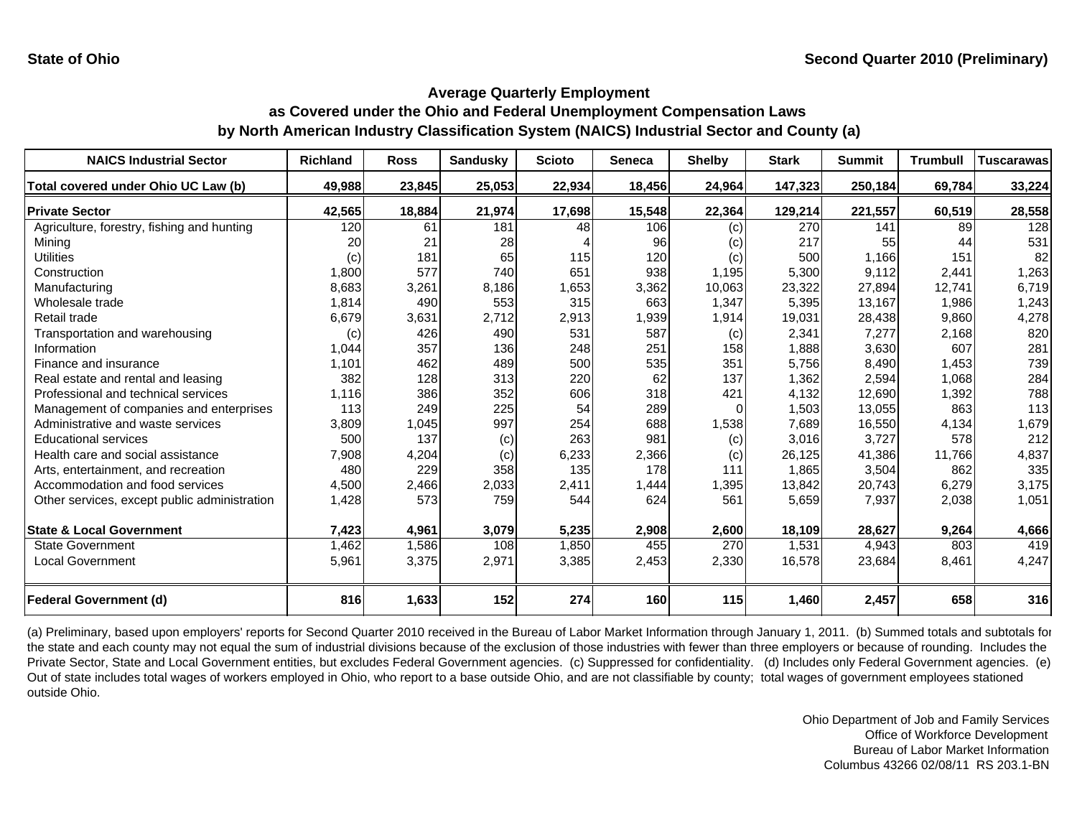| <b>NAICS Industrial Sector</b>               | <b>Richland</b> | <b>Ross</b> | <b>Sandusky</b> | <b>Scioto</b> | <b>Seneca</b> | <b>Shelby</b> | <b>Stark</b> | <b>Summit</b> | <b>Trumbull</b> | <b>Tuscarawas</b> |
|----------------------------------------------|-----------------|-------------|-----------------|---------------|---------------|---------------|--------------|---------------|-----------------|-------------------|
| Total covered under Ohio UC Law (b)          | 49,988          | 23,845      | 25,053          | 22,934        | 18,456        | 24,964        | 147,323      | 250,184       | 69,784          | 33,224            |
| <b>Private Sector</b>                        | 42,565          | 18,884      | 21,974          | 17,698        | 15,548        | 22,364        | 129,214      | 221,557       | 60,519          | 28,558            |
| Agriculture, forestry, fishing and hunting   | 120             | 61          | 181             | 48            | 106           | (c)           | 270          | 141           | 89              | 128               |
| Minina                                       | 20              | 21          | 28              |               | 96            | (c)           | 217          | 55            | 44              | 531               |
| <b>Utilities</b>                             | (c)             | 181         | 65              | 115           | 120           | (c)           | 500          | 1.166         | 151             | 82                |
| Construction                                 | 1,800           | 577         | 740             | 651           | 938           | 1,195         | 5,300        | 9,112         | 2,441           | 1,263             |
| Manufacturing                                | 8,683           | 3,261       | 8,186           | 1,653         | 3,362         | 10,063        | 23,322       | 27,894        | 12,741          | 6,719             |
| Wholesale trade                              | 1,814           | 490         | 553             | 315           | 663           | 1,347         | 5,395        | 13,167        | 1,986           | 1,243             |
| Retail trade                                 | 6,679           | 3,631       | 2,712           | 2,913         | 1,939         | 1,914         | 19,031       | 28,438        | 9,860           | 4,278             |
| Transportation and warehousing               | (c)             | 426         | 490             | 531           | 587           | (c)           | 2,341        | 7,277         | 2,168           | 820               |
| Information                                  | 1,044           | 357         | 136             | 248           | 251           | 158           | 1,888        | 3,630         | 607             | 281               |
| Finance and insurance                        | 1,101           | 462         | 489             | 500           | 535           | 351           | 5,756        | 8,490         | 1,453           | 739               |
| Real estate and rental and leasing           | 382             | 128         | 313             | 220           | 62            | 137           | 1,362        | 2,594         | 1,068           | 284               |
| Professional and technical services          | 1,116           | 386         | 352             | 606           | 318           | 421           | 4,132        | 12,690        | 1,392           | 788               |
| Management of companies and enterprises      | 113             | 249         | 225             | 54            | 289           |               | 1,503        | 13,055        | 863             | 113               |
| Administrative and waste services            | 3,809           | 1,045       | 997             | 254           | 688           | 1,538         | 7,689        | 16,550        | 4,134           | 1,679             |
| <b>Educational services</b>                  | 500             | 137         | (c)             | 263           | 981           | (c)           | 3,016        | 3,727         | 578             | 212               |
| Health care and social assistance            | 7,908           | 4,204       | (c)             | 6,233         | 2,366         | (c)           | 26,125       | 41,386        | 11.766          | 4,837             |
| Arts, entertainment, and recreation          | 480             | 229         | 358             | 135           | 178           | 111           | 1,865        | 3,504         | 862             | 335               |
| Accommodation and food services              | 4,500           | 2,466       | 2,033           | 2,411         | 1,444         | 1,395         | 13,842       | 20,743        | 6,279           | 3,175             |
| Other services, except public administration | 1,428           | 573         | 759             | 544           | 624           | 561           | 5,659        | 7,937         | 2,038           | 1,051             |
|                                              |                 |             |                 |               |               |               |              |               |                 |                   |
| <b>State &amp; Local Government</b>          | 7,423           | 4,961       | 3,079           | 5,235         | 2,908         | 2,600         | 18,109       | 28,627        | 9,264           | 4,666             |
| <b>State Government</b>                      | 1,462           | 1,586       | 108             | 1,850         | 455           | 270           | 1,531        | 4,943         | 803             | 419               |
| Local Government                             | 5,961           | 3,375       | 2,971           | 3,385         | 2,453         | 2,330         | 16,578       | 23,684        | 8,461           | 4,247             |
| <b>Federal Government (d)</b>                | 816             | 1,633       | 152             | 274           | 160           | 115           | 1,460        | 2,457         | 658             | 316               |

(a) Preliminary, based upon employers' reports for Second Quarter 2010 received in the Bureau of Labor Market Information through January 1, 2011. (b) Summed totals and subtotals for the state and each county may not equal the sum of industrial divisions because of the exclusion of those industries with fewer than three employers or because of rounding. Includes the Private Sector, State and Local Government entities, but excludes Federal Government agencies. (c) Suppressed for confidentiality. (d) Includes only Federal Government agencies. (e) Out of state includes total wages of workers employed in Ohio, who report to a base outside Ohio, and are not classifiable by county; total wages of government employees stationed outside Ohio.